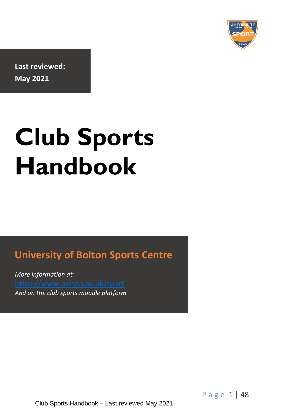

**Last reviewed: May 2021**

# **Club Sports Handbook**

### **University of Bolton Sports Centre**

**University of**  *And on the club sports moodle platform More information at:* 

P a g e 1 | 48

Club Sports Handbook – Last reviewed May 2021 **Sports**  *More information at:*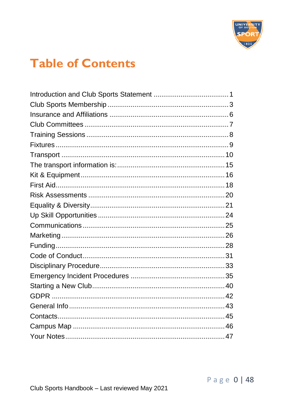

### **Table of Contents**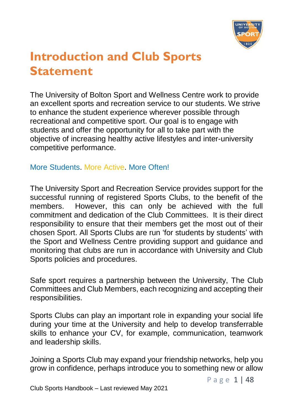

### <span id="page-2-0"></span>**Introduction and Club Sports Statement**

The University of Bolton Sport and Wellness Centre work to provide an excellent sports and recreation service to our students. We strive to enhance the student experience wherever possible through recreational and competitive sport. Our goal is to engage with students and offer the opportunity for all to take part with the objective of increasing healthy active lifestyles and inter-university competitive performance.

#### More Students. More Active. More Often!

The University Sport and Recreation Service provides support for the successful running of registered Sports Clubs, to the benefit of the members. However, this can only be achieved with the full commitment and dedication of the Club Committees. It is their direct responsibility to ensure that their members get the most out of their chosen Sport. All Sports Clubs are run 'for students by students' with the Sport and Wellness Centre providing support and guidance and monitoring that clubs are run in accordance with University and Club Sports policies and procedures.

Safe sport requires a partnership between the University, The Club Committees and Club Members, each recognizing and accepting their responsibilities.

Sports Clubs can play an important role in expanding your social life during your time at the University and help to develop transferrable skills to enhance your CV, for example, communication, teamwork and leadership skills.

Joining a Sports Club may expand your friendship networks, help you grow in confidence, perhaps introduce you to something new or allow

P a g e 1 | 48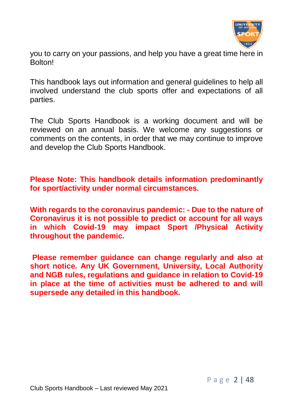

you to carry on your passions, and help you have a great time here in **Bolton!** 

This handbook lays out information and general guidelines to help all involved understand the club sports offer and expectations of all parties.

The Club Sports Handbook is a working document and will be reviewed on an annual basis. We welcome any suggestions or comments on the contents, in order that we may continue to improve and develop the Club Sports Handbook.

**Please Note: This handbook details information predominantly for sport/activity under normal circumstances.**

**With regards to the coronavirus pandemic: - Due to the nature of Coronavirus it is not possible to predict or account for all ways in which Covid-19 may impact Sport /Physical Activity throughout the pandemic.**

**Please remember guidance can change regularly and also at short notice. Any UK Government, University, Local Authority and NGB rules, regulations and guidance in relation to Covid-19 in place at the time of activities must be adhered to and will supersede any detailed in this handbook.**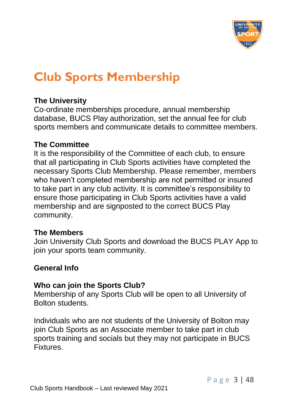

### <span id="page-4-0"></span>**Club Sports Membership**

#### **The University**

Co-ordinate memberships procedure, annual membership database, BUCS Play authorization, set the annual fee for club sports members and communicate details to committee members.

#### **The Committee**

It is the responsibility of the Committee of each club, to ensure that all participating in Club Sports activities have completed the necessary Sports Club Membership. Please remember, members who haven't completed membership are not permitted or insured to take part in any club activity. It is committee's responsibility to ensure those participating in Club Sports activities have a valid membership and are signposted to the correct BUCS Play community.

#### **The Members**

Join University Club Sports and download the BUCS PLAY App to join your sports team community.

#### **General Info**

#### **Who can join the Sports Club?**

Membership of any Sports Club will be open to all University of Bolton students.

Individuals who are not students of the University of Bolton may join Club Sports as an Associate member to take part in club sports training and socials but they may not participate in BUCS Fixtures.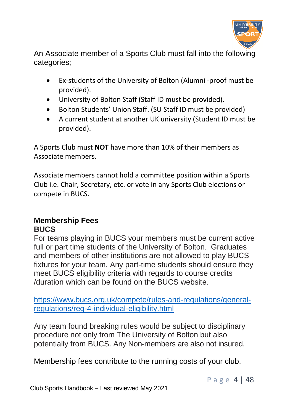

An Associate member of a Sports Club must fall into the following categories;

- Ex-students of the University of Bolton (Alumni -proof must be provided).
- University of Bolton Staff (Staff ID must be provided).
- Bolton Students' Union Staff. (SU Staff ID must be provided)
- A current student at another UK university (Student ID must be provided).

A Sports Club must **NOT** have more than 10% of their members as Associate members.

Associate members cannot hold a committee position within a Sports Club i.e. Chair, Secretary, etc. or vote in any Sports Club elections or compete in BUCS.

#### **Membership Fees BUCS**

For teams playing in BUCS your members must be current active full or part time students of the University of Bolton. Graduates and members of other institutions are not allowed to play BUCS fixtures for your team. Any part-time students should ensure they meet BUCS eligibility criteria with regards to course credits /duration which can be found on the BUCS website.

[https://www.bucs.org.uk/compete/rules-and-regulations/general](https://www.bucs.org.uk/compete/rules-and-regulations/general-regulations/reg-4-individual-eligibility.html)[regulations/reg-4-individual-eligibility.html](https://www.bucs.org.uk/compete/rules-and-regulations/general-regulations/reg-4-individual-eligibility.html)

Any team found breaking rules would be subject to disciplinary procedure not only from The University of Bolton but also potentially from BUCS. Any Non-members are also not insured.

Membership fees contribute to the running costs of your club.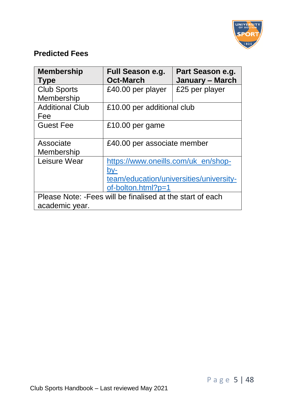

#### **Predicted Fees**

| <b>Membership</b><br>Type                                                    | Full Season e.g.<br><b>Oct-March</b>                                                                        | Part Season e.g.<br>January - March |  |
|------------------------------------------------------------------------------|-------------------------------------------------------------------------------------------------------------|-------------------------------------|--|
| <b>Club Sports</b><br>Membership                                             | £40.00 per player                                                                                           | £25 per player                      |  |
| <b>Additional Club</b><br>Fee                                                | £10.00 per additional club                                                                                  |                                     |  |
| <b>Guest Fee</b>                                                             | £10.00 per game                                                                                             |                                     |  |
| Associate<br>Membership                                                      | £40.00 per associate member                                                                                 |                                     |  |
| Leisure Wear                                                                 | https://www.oneills.com/uk en/shop-<br>bv-<br>team/education/universities/university-<br>of-bolton.html?p=1 |                                     |  |
| Please Note: - Fees will be finalised at the start of each<br>academic year. |                                                                                                             |                                     |  |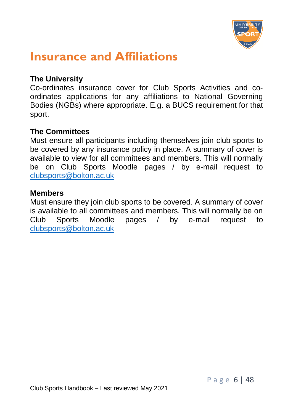

### <span id="page-7-0"></span>**Insurance and Affiliations**

#### **The University**

Co-ordinates insurance cover for Club Sports Activities and coordinates applications for any affiliations to National Governing Bodies (NGBs) where appropriate. E.g. a BUCS requirement for that sport.

#### **The Committees**

Must ensure all participants including themselves join club sports to be covered by any insurance policy in place. A summary of cover is available to view for all committees and members. This will normally be on Club Sports Moodle pages / by e-mail request to [clubsports@bolton.ac.uk](mailto:clubsports@bolton.ac.uk)

#### **Members**

Must ensure they join club sports to be covered. A summary of cover is available to all committees and members. This will normally be on Club Sports Moodle pages / by e-mail request to [clubsports@bolton.ac.uk](mailto:clubsports@bolton.ac.uk)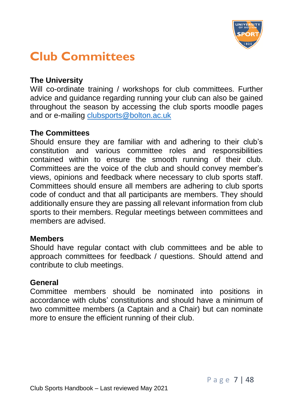

### <span id="page-8-0"></span>**Club Committees**

#### **The University**

Will co-ordinate training / workshops for club committees. Further advice and guidance regarding running your club can also be gained throughout the season by accessing the club sports moodle pages and or e-mailing [clubsports@bolton.ac.uk](mailto:clubsports@bolton.ac.uk)

#### **The Committees**

Should ensure they are familiar with and adhering to their club's constitution and various committee roles and responsibilities contained within to ensure the smooth running of their club. Committees are the voice of the club and should convey member's views, opinions and feedback where necessary to club sports staff. Committees should ensure all members are adhering to club sports code of conduct and that all participants are members. They should additionally ensure they are passing all relevant information from club sports to their members. Regular meetings between committees and members are advised.

#### **Members**

Should have regular contact with club committees and be able to approach committees for feedback / questions. Should attend and contribute to club meetings.

#### **General**

Committee members should be nominated into positions in accordance with clubs' constitutions and should have a minimum of two committee members (a Captain and a Chair) but can nominate more to ensure the efficient running of their club.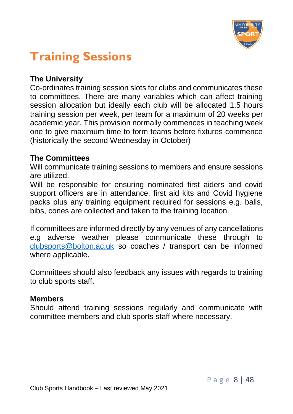

### <span id="page-9-0"></span>**Training Sessions**

#### **The University**

Co-ordinates training session slots for clubs and communicates these to committees. There are many variables which can affect training session allocation but ideally each club will be allocated 1.5 hours training session per week, per team for a maximum of 20 weeks per academic year. This provision normally commences in teaching week one to give maximum time to form teams before fixtures commence (historically the second Wednesday in October)

#### **The Committees**

Will communicate training sessions to members and ensure sessions are utilized.

Will be responsible for ensuring nominated first aiders and covid support officers are in attendance, first aid kits and Covid hygiene packs plus any training equipment required for sessions e.g. balls, bibs, cones are collected and taken to the training location.

If committees are informed directly by any venues of any cancellations e.g adverse weather please communicate these through to [clubsports@bolton.ac.uk](mailto:clubsports@bolton.ac.uk) so coaches / transport can be informed where applicable.

Committees should also feedback any issues with regards to training to club sports staff.

#### **Members**

Should attend training sessions regularly and communicate with committee members and club sports staff where necessary.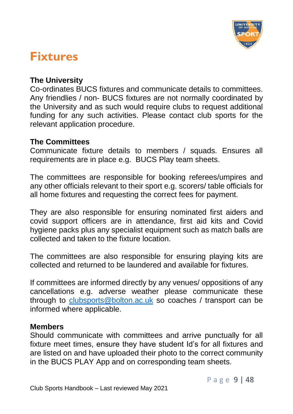

### <span id="page-10-0"></span>**Fixtures**

#### **The University**

Co-ordinates BUCS fixtures and communicate details to committees. Any friendlies / non- BUCS fixtures are not normally coordinated by the University and as such would require clubs to request additional funding for any such activities. Please contact club sports for the relevant application procedure.

#### **The Committees**

Communicate fixture details to members / squads. Ensures all requirements are in place e.g. BUCS Play team sheets.

The committees are responsible for booking referees/umpires and any other officials relevant to their sport e.g. scorers/ table officials for all home fixtures and requesting the correct fees for payment.

They are also responsible for ensuring nominated first aiders and covid support officers are in attendance, first aid kits and Covid hygiene packs plus any specialist equipment such as match balls are collected and taken to the fixture location.

The committees are also responsible for ensuring playing kits are collected and returned to be laundered and available for fixtures.

If committees are informed directly by any venues/ oppositions of any cancellations e.g. adverse weather please communicate these through to [clubsports@bolton.ac.uk](mailto:clubsports@bolton.ac.uk) so coaches / transport can be informed where applicable.

#### **Members**

Should communicate with committees and arrive punctually for all fixture meet times, ensure they have student Id's for all fixtures and are listed on and have uploaded their photo to the correct community in the BUCS PLAY App and on corresponding team sheets.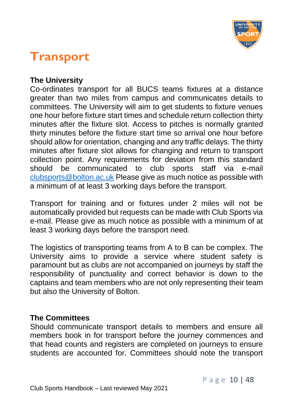

### <span id="page-11-0"></span>**Transport**

#### **The University**

Co-ordinates transport for all BUCS teams fixtures at a distance greater than two miles from campus and communicates details to committees. The University will aim to get students to fixture venues one hour before fixture start times and schedule return collection thirty minutes after the fixture slot. Access to pitches is normally granted thirty minutes before the fixture start time so arrival one hour before should allow for orientation, changing and any traffic delays. The thirty minutes after fixture slot allows for changing and return to transport collection point. Any requirements for deviation from this standard should be communicated to club sports staff via e-mail [clubsports@bolton.ac.uk](mailto:clubsports@bolton.ac.uk) Please give as much notice as possible with a minimum of at least 3 working days before the transport.

Transport for training and or fixtures under 2 miles will not be automatically provided but requests can be made with Club Sports via e-mail. Please give as much notice as possible with a minimum of at least 3 working days before the transport need.

The logistics of transporting teams from A to B can be complex. The University aims to provide a service where student safety is paramount but as clubs are not accompanied on journeys by staff the responsibility of punctuality and correct behavior is down to the captains and team members who are not only representing their team but also the University of Bolton.

#### **The Committees**

Should communicate transport details to members and ensure all members book in for transport before the journey commences and that head counts and registers are completed on journeys to ensure students are accounted for. Committees should note the transport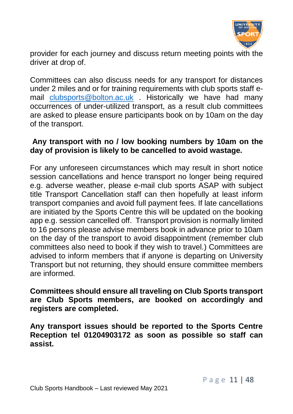

provider for each journey and discuss return meeting points with the driver at drop of.

Committees can also discuss needs for any transport for distances under 2 miles and or for training requirements with club sports staff email [clubsports@bolton.ac.uk](mailto:clubsports@bolton.ac.uk) . Historically we have had many occurrences of under-utilized transport, as a result club committees are asked to please ensure participants book on by 10am on the day of the transport.

#### **Any transport with no / low booking numbers by 10am on the day of provision is likely to be cancelled to avoid wastage.**

For any unforeseen circumstances which may result in short notice session cancellations and hence transport no longer being required e.g. adverse weather, please e-mail club sports ASAP with subject title Transport Cancellation staff can then hopefully at least inform transport companies and avoid full payment fees. If late cancellations are initiated by the Sports Centre this will be updated on the booking app e.g. session cancelled off. Transport provision is normally limited to 16 persons please advise members book in advance prior to 10am on the day of the transport to avoid disappointment (remember club committees also need to book if they wish to travel.) Committees are advised to inform members that if anyone is departing on University Transport but not returning, they should ensure committee members are informed.

#### **Committees should ensure all traveling on Club Sports transport are Club Sports members, are booked on accordingly and registers are completed.**

**Any transport issues should be reported to the Sports Centre Reception tel 01204903172 as soon as possible so staff can assist.**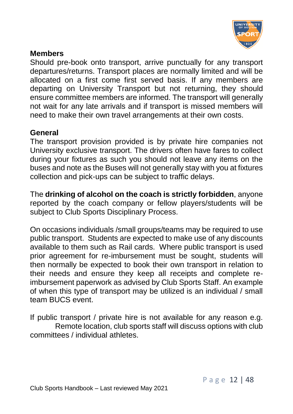

#### **Members**

Should pre-book onto transport, arrive punctually for any transport departures/returns. Transport places are normally limited and will be allocated on a first come first served basis. If any members are departing on University Transport but not returning, they should ensure committee members are informed. The transport will generally not wait for any late arrivals and if transport is missed members will need to make their own travel arrangements at their own costs.

#### **General**

The transport provision provided is by private hire companies not University exclusive transport. The drivers often have fares to collect during your fixtures as such you should not leave any items on the buses and note as the Buses will not generally stay with you at fixtures collection and pick-ups can be subject to traffic delays.

The **drinking of alcohol on the coach is strictly forbidden**, anyone reported by the coach company or fellow players/students will be subject to Club Sports Disciplinary Process.

On occasions individuals /small groups/teams may be required to use public transport. Students are expected to make use of any discounts available to them such as Rail cards. Where public transport is used prior agreement for re-imbursement must be sought, students will then normally be expected to book their own transport in relation to their needs and ensure they keep all receipts and complete reimbursement paperwork as advised by Club Sports Staff. An example of when this type of transport may be utilized is an individual / small team BUCS event.

If public transport / private hire is not available for any reason e.g. Remote location, club sports staff will discuss options with club committees / individual athletes.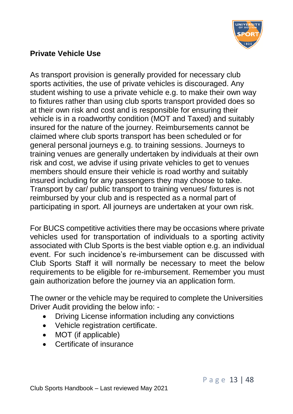

#### **Private Vehicle Use**

As transport provision is generally provided for necessary club sports activities, the use of private vehicles is discouraged. Any student wishing to use a private vehicle e.g. to make their own way to fixtures rather than using club sports transport provided does so at their own risk and cost and is responsible for ensuring their vehicle is in a roadworthy condition (MOT and Taxed) and suitably insured for the nature of the journey. Reimbursements cannot be claimed where club sports transport has been scheduled or for general personal journeys e.g. to training sessions. Journeys to training venues are generally undertaken by individuals at their own risk and cost, we advise if using private vehicles to get to venues members should ensure their vehicle is road worthy and suitably insured including for any passengers they may choose to take. Transport by car/ public transport to training venues/ fixtures is not reimbursed by your club and is respected as a normal part of participating in sport. All journeys are undertaken at your own risk.

For BUCS competitive activities there may be occasions where private vehicles used for transportation of individuals to a sporting activity associated with Club Sports is the best viable option e.g. an individual event. For such incidence's re-imbursement can be discussed with Club Sports Staff it will normally be necessary to meet the below requirements to be eligible for re-imbursement. Remember you must gain authorization before the journey via an application form.

The owner or the vehicle may be required to complete the Universities Driver Audit providing the below info: -

- Driving License information including any convictions
- Vehicle registration certificate.
- MOT (if applicable)
- Certificate of insurance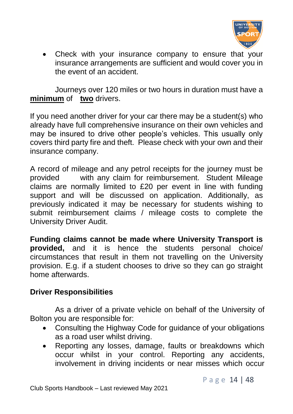

• Check with your insurance company to ensure that your insurance arrangements are sufficient and would cover you in the event of an accident.

Journeys over 120 miles or two hours in duration must have a **minimum** of **two** drivers.

If you need another driver for your car there may be a student(s) who already have full comprehensive insurance on their own vehicles and may be insured to drive other people's vehicles. This usually only covers third party fire and theft. Please check with your own and their insurance company.

A record of mileage and any petrol receipts for the journey must be provided with any claim for reimbursement. Student Mileage claims are normally limited to £20 per event in line with funding support and will be discussed on application. Additionally, as previously indicated it may be necessary for students wishing to submit reimbursement claims / mileage costs to complete the University Driver Audit.

**Funding claims cannot be made where University Transport is provided,** and it is hence the students personal choice/ circumstances that result in them not travelling on the University provision. E.g. if a student chooses to drive so they can go straight home afterwards.

#### **Driver Responsibilities**

As a driver of a private vehicle on behalf of the University of Bolton you are responsible for:

- Consulting the Highway Code for guidance of your obligations as a road user whilst driving.
- Reporting any losses, damage, faults or breakdowns which occur whilst in your control. Reporting any accidents, involvement in driving incidents or near misses which occur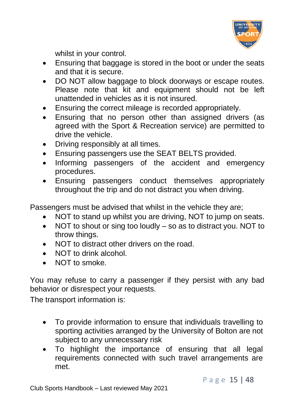

whilst in your control.

- Ensuring that baggage is stored in the boot or under the seats and that it is secure.
- DO NOT allow baggage to block doorways or escape routes. Please note that kit and equipment should not be left unattended in vehicles as it is not insured.
- Ensuring the correct mileage is recorded appropriately.
- Ensuring that no person other than assigned drivers (as agreed with the Sport & Recreation service) are permitted to drive the vehicle.
- Driving responsibly at all times.
- Ensuring passengers use the SEAT BELTS provided.
- Informing passengers of the accident and emergency procedures.
- Ensuring passengers conduct themselves appropriately throughout the trip and do not distract you when driving.

Passengers must be advised that whilst in the vehicle they are:

- NOT to stand up whilst you are driving, NOT to jump on seats.
- NOT to shout or sing too loudly so as to distract you. NOT to throw things.
- NOT to distract other drivers on the road.
- NOT to drink alcohol.
- NOT to smoke.

You may refuse to carry a passenger if they persist with any bad behavior or disrespect your requests.

<span id="page-16-0"></span>The transport information is:

- To provide information to ensure that individuals travelling to sporting activities arranged by the University of Bolton are not subject to any unnecessary risk
- To highlight the importance of ensuring that all legal requirements connected with such travel arrangements are met.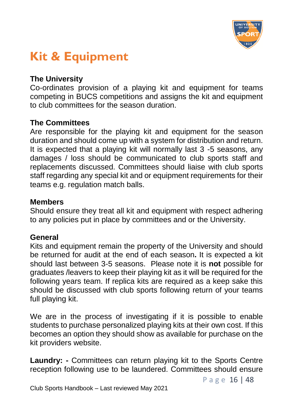

### <span id="page-17-0"></span>**Kit & Equipment**

#### **The University**

Co-ordinates provision of a playing kit and equipment for teams competing in BUCS competitions and assigns the kit and equipment to club committees for the season duration.

#### **The Committees**

Are responsible for the playing kit and equipment for the season duration and should come up with a system for distribution and return. It is expected that a playing kit will normally last 3 -5 seasons, any damages / loss should be communicated to club sports staff and replacements discussed. Committees should liaise with club sports staff regarding any special kit and or equipment requirements for their teams e.g. regulation match balls.

#### **Members**

Should ensure they treat all kit and equipment with respect adhering to any policies put in place by committees and or the University.

#### **General**

Kits and equipment remain the property of the University and should be returned for audit at the end of each season**.** It is expected a kit should last between 3-5 seasons. Please note it is **not** possible for graduates /leavers to keep their playing kit as it will be required for the following years team. If replica kits are required as a keep sake this should be discussed with club sports following return of your teams full playing kit.

We are in the process of investigating if it is possible to enable students to purchase personalized playing kits at their own cost. If this becomes an option they should show as available for purchase on the kit providers website.

**Laundry: -** Committees can return playing kit to the Sports Centre reception following use to be laundered. Committees should ensure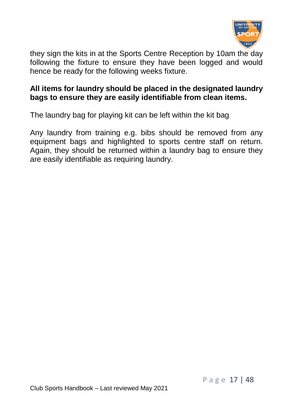

they sign the kits in at the Sports Centre Reception by 10am the day following the fixture to ensure they have been logged and would hence be ready for the following weeks fixture.

#### **All items for laundry should be placed in the designated laundry bags to ensure they are easily identifiable from clean items.**

The laundry bag for playing kit can be left within the kit bag

Any laundry from training e.g. bibs should be removed from any equipment bags and highlighted to sports centre staff on return. Again, they should be returned within a laundry bag to ensure they are easily identifiable as requiring laundry.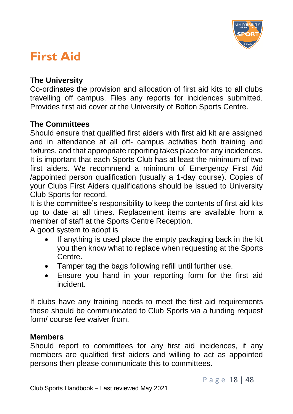

### <span id="page-19-0"></span>**First Aid**

#### **The University**

Co-ordinates the provision and allocation of first aid kits to all clubs travelling off campus. Files any reports for incidences submitted. Provides first aid cover at the University of Bolton Sports Centre.

#### **The Committees**

Should ensure that qualified first aiders with first aid kit are assigned and in attendance at all off- campus activities both training and fixtures, and that appropriate reporting takes place for any incidences. It is important that each Sports Club has at least the minimum of two first aiders. We recommend a minimum of Emergency First Aid /appointed person qualification (usually a 1-day course). Copies of your Clubs First Aiders qualifications should be issued to University Club Sports for record.

It is the committee's responsibility to keep the contents of first aid kits up to date at all times. Replacement items are available from a member of staff at the Sports Centre Reception.

A good system to adopt is

- If anything is used place the empty packaging back in the kit you then know what to replace when requesting at the Sports Centre.
- Tamper tag the bags following refill until further use.
- Ensure you hand in your reporting form for the first aid incident.

If clubs have any training needs to meet the first aid requirements these should be communicated to Club Sports via a funding request form/ course fee waiver from.

#### **Members**

Should report to committees for any first aid incidences, if any members are qualified first aiders and willing to act as appointed persons then please communicate this to committees.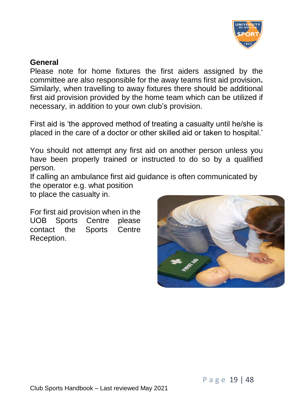

#### **General**

Please note for home fixtures the first aiders assigned by the committee are also responsible for the away teams first aid provision**.**  Similarly, when travelling to away fixtures there should be additional first aid provision provided by the home team which can be utilized if necessary, in addition to your own club's provision.

First aid is 'the approved method of treating a casualty until he/she is placed in the care of a doctor or other skilled aid or taken to hospital.'

You should not attempt any first aid on another person unless you have been properly trained or instructed to do so by a qualified person.

If calling an ambulance first aid guidance is often communicated by the operator e.g. what position

to place the casualty in.

For first aid provision when in the UOB Sports Centre please contact the Sports Centre Reception.

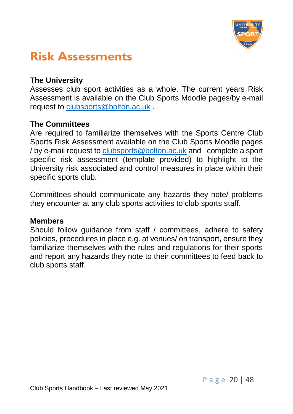

### <span id="page-21-0"></span>**Risk Assessments**

#### **The University**

Assesses club sport activities as a whole. The current years Risk Assessment is available on the Club Sports Moodle pages/by e-mail request to [clubsports@bolton.ac.uk](mailto:clubsports@bolton.ac.uk) .

#### **The Committees**

Are required to familiarize themselves with the Sports Centre Club Sports Risk Assessment available on the Club Sports Moodle pages / by e-mail request to [clubsports@bolton.ac.uk](mailto:clubsports@bolton.ac.uk) and complete a sport specific risk assessment (template provided) to highlight to the University risk associated and control measures in place within their specific sports club.

Committees should communicate any hazards they note/ problems they encounter at any club sports activities to club sports staff.

#### **Members**

Should follow guidance from staff / committees, adhere to safety policies, procedures in place e.g. at venues/ on transport, ensure they familiarize themselves with the rules and regulations for their sports and report any hazards they note to their committees to feed back to club sports staff.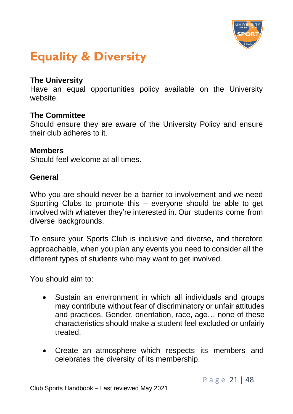

### <span id="page-22-0"></span>**Equality & Diversity**

#### **The University**

Have an equal opportunities policy available on the University website.

#### **The Committee**

Should ensure they are aware of the University Policy and ensure their club adheres to it.

#### **Members**

Should feel welcome at all times.

#### **General**

Who you are should never be a barrier to involvement and we need Sporting Clubs to promote this – everyone should be able to get involved with whatever they're interested in. Our students come from diverse backgrounds.

To ensure your Sports Club is inclusive and diverse, and therefore approachable, when you plan any events you need to consider all the different types of students who may want to get involved.

You should aim to:

- Sustain an environment in which all individuals and groups may contribute without fear of discriminatory or unfair attitudes and practices. Gender, orientation, race, age… none of these characteristics should make a student feel excluded or unfairly treated.
- Create an atmosphere which respects its members and celebrates the diversity of its membership.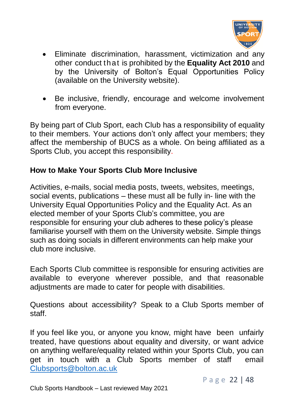

- Eliminate discrimination, harassment, victimization and any other conduct that is prohibited by the **Equality Act 2010** and by the University of Bolton's Equal Opportunities Policy (available on the University website).
- Be inclusive, friendly, encourage and welcome involvement from everyone.

By being part of Club Sport, each Club has a responsibility of equality to their members. Your actions don't only affect your members; they affect the membership of BUCS as a whole. On being affiliated as a Sports Club, you accept this responsibility.

#### **How to Make Your Sports Club More Inclusive**

Activities, e-mails, social media posts, tweets, websites, meetings, social events, publications – these must all be fully in- line with the University Equal Opportunities Policy and the Equality Act. As an elected member of your Sports Club's committee, you are responsible for ensuring your club adheres to these policy's please familiarise yourself with them on the University website. Simple things such as doing socials in different environments can help make your club more inclusive.

Each Sports Club committee is responsible for ensuring activities are available to everyone wherever possible, and that reasonable adiustments are made to cater for people with disabilities.

Questions about accessibility? Speak to a Club Sports member of staff.

If you feel like you, or anyone you know, might have been unfairly treated, have questions about equality and diversity, or want advice on anything welfare/equality related within your Sports Club, you can get in touch with a Club Sports member of staff email [Clubsports@bolton.ac.uk](mailto:Clubsports@bolton.ac.uk)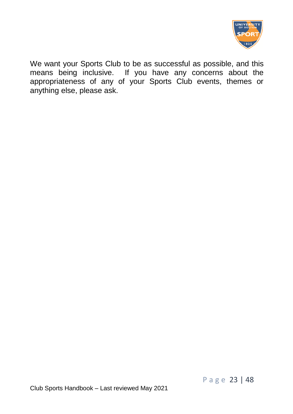

We want your Sports Club to be as successful as possible, and this means being inclusive. If you have any concerns about the appropriateness of any of your Sports Club events, themes or anything else, please ask.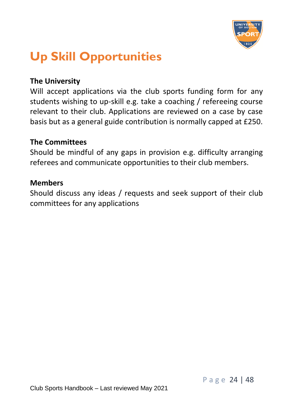

### <span id="page-25-0"></span>**Up Skill Opportunities**

#### **The University**

Will accept applications via the club sports funding form for any students wishing to up-skill e.g. take a coaching / refereeing course relevant to their club. Applications are reviewed on a case by case basis but as a general guide contribution is normally capped at £250.

#### **The Committees**

Should be mindful of any gaps in provision e.g. difficulty arranging referees and communicate opportunities to their club members.

#### **Members**

Should discuss any ideas / requests and seek support of their club committees for any applications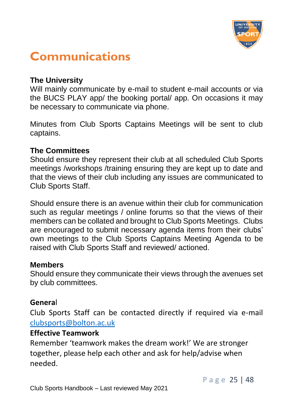

### <span id="page-26-0"></span>**Communications**

#### **The University**

Will mainly communicate by e-mail to student e-mail accounts or via the BUCS PLAY app/ the booking portal/ app. On occasions it may be necessary to communicate via phone.

Minutes from Club Sports Captains Meetings will be sent to club captains.

#### **The Committees**

Should ensure they represent their club at all scheduled Club Sports meetings /workshops /training ensuring they are kept up to date and that the views of their club including any issues are communicated to Club Sports Staff.

Should ensure there is an avenue within their club for communication such as regular meetings / online forums so that the views of their members can be collated and brought to Club Sports Meetings. Clubs are encouraged to submit necessary agenda items from their clubs' own meetings to the Club Sports Captains Meeting Agenda to be raised with Club Sports Staff and reviewed/ actioned.

#### **Members**

Should ensure they communicate their views through the avenues set by club committees.

#### **Genera**l

Club Sports Staff can be contacted directly if required via e-mail [clubsports@bolton.ac.uk](mailto:clubsports@bolton.ac.uk)

#### **Effective Teamwork**

Remember 'teamwork makes the dream work!' We are stronger together, please help each other and ask for help/advise when needed.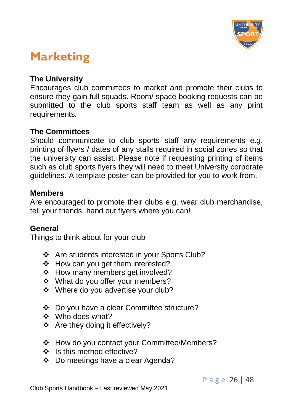

### <span id="page-27-0"></span>**Marketing**

#### **The University**

Encourages club committees to market and promote their clubs to ensure they gain full squads. Room/ space booking requests can be submitted to the club sports staff team as well as any print requirements.

#### **The Committees**

Should communicate to club sports staff any requirements e.g. printing of flyers / dates of any stalls required in social zones so that the university can assist. Please note if requesting printing of items such as club sports flyers they will need to meet University corporate guidelines. A template poster can be provided for you to work from.

#### **Members**

Are encouraged to promote their clubs e.g. wear club merchandise, tell your friends, hand out flyers where you can!

#### **General**

Things to think about for your club

- ❖ Are students interested in your Sports Club?
- ❖ How can you get them interested?
- ❖ How many members get involved?
- ❖ What do you offer your members?
- ❖ Where do you advertise your club?
- ❖ Do you have a clear Committee structure?
- ❖ Who does what?
- ❖ Are they doing it effectively?
- ❖ How do you contact your Committee/Members?
- ❖ Is this method effective?
- ❖ Do meetings have a clear Agenda?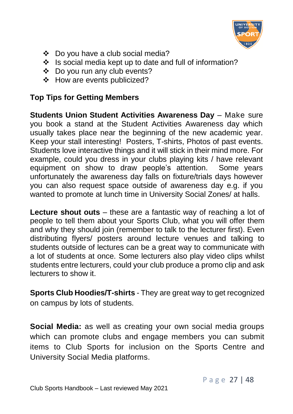

- ❖ Do you have a club social media?
- ❖ Is social media kept up to date and full of information?
- ❖ Do you run any club events?
- ❖ How are events publicized?

#### **Top Tips for Getting Members**

**Students Union Student Activities Awareness Day** – Make sure you book a stand at the Student Activities Awareness day which usually takes place near the beginning of the new academic year. Keep your stall interesting! Posters, T-shirts, Photos of past events. Students love interactive things and it will stick in their mind more. For example, could you dress in your clubs playing kits / have relevant equipment on show to draw people's attention. Some years unfortunately the awareness day falls on fixture/trials days however you can also request space outside of awareness day e.g. if you wanted to promote at lunch time in University Social Zones/ at halls.

**Lecture shout outs** – these are a fantastic way of reaching a lot of people to tell them about your Sports Club, what you will offer them and why they should join (remember to talk to the lecturer first). Even distributing flyers/ posters around lecture venues and talking to students outside of lectures can be a great way to communicate with a lot of students at once. Some lecturers also play video clips whilst students entre lecturers, could your club produce a promo clip and ask lecturers to show it.

**Sports Club Hoodies/T-shirts** - They are great way to get recognized on campus by lots of students.

**Social Media:** as well as creating your own social media groups which can promote clubs and engage members you can submit items to Club Sports for inclusion on the Sports Centre and University Social Media platforms.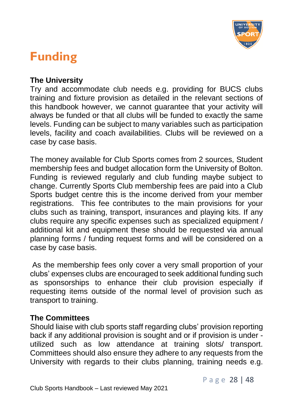

### <span id="page-29-0"></span>**Funding**

#### **The University**

Try and accommodate club needs e.g. providing for BUCS clubs training and fixture provision as detailed in the relevant sections of this handbook however, we cannot guarantee that your activity will always be funded or that all clubs will be funded to exactly the same levels. Funding can be subject to many variables such as participation levels, facility and coach availabilities. Clubs will be reviewed on a case by case basis.

The money available for Club Sports comes from 2 sources, Student membership fees and budget allocation form the University of Bolton. Funding is reviewed regularly and club funding maybe subject to change. Currently Sports Club membership fees are paid into a Club Sports budget centre this is the income derived from your member registrations. This fee contributes to the main provisions for your clubs such as training, transport, insurances and playing kits. If any clubs require any specific expenses such as specialized equipment / additional kit and equipment these should be requested via annual planning forms / funding request forms and will be considered on a case by case basis.

As the membership fees only cover a very small proportion of your clubs' expenses clubs are encouraged to seek additional funding such as sponsorships to enhance their club provision especially if requesting items outside of the normal level of provision such as transport to training.

#### **The Committees**

Should liaise with club sports staff regarding clubs' provision reporting back if any additional provision is sought and or if provision is under utilized such as low attendance at training slots/ transport. Committees should also ensure they adhere to any requests from the University with regards to their clubs planning, training needs e.g.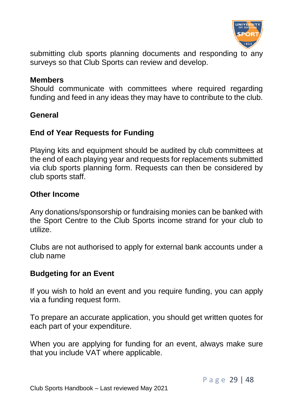

submitting club sports planning documents and responding to any surveys so that Club Sports can review and develop.

#### **Members**

Should communicate with committees where required regarding funding and feed in any ideas they may have to contribute to the club.

#### **General**

#### **End of Year Requests for Funding**

Playing kits and equipment should be audited by club committees at the end of each playing year and requests for replacements submitted via club sports planning form. Requests can then be considered by club sports staff.

#### **Other Income**

Any donations/sponsorship or fundraising monies can be banked with the Sport Centre to the Club Sports income strand for your club to utilize.

Clubs are not authorised to apply for external bank accounts under a club name

#### **Budgeting for an Event**

If you wish to hold an event and you require funding, you can apply via a funding request form.

To prepare an accurate application, you should get written quotes for each part of your expenditure.

When you are applying for funding for an event, always make sure that you include VAT where applicable.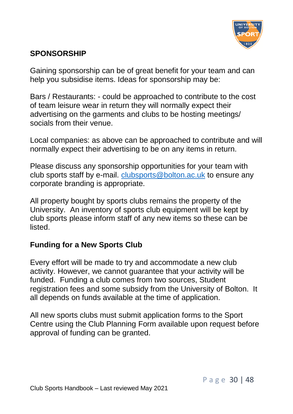

#### **SPONSORSHIP**

Gaining sponsorship can be of great benefit for your team and can help you subsidise items. Ideas for sponsorship may be:

Bars / Restaurants: - could be approached to contribute to the cost of team leisure wear in return they will normally expect their advertising on the garments and clubs to be hosting meetings/ socials from their venue.

Local companies: as above can be approached to contribute and will normally expect their advertising to be on any items in return.

Please discuss any sponsorship opportunities for your team with club sports staff by e-mail. [clubsports@bolton.ac.uk](mailto:clubsports@bolton.ac.uk) to ensure any corporate branding is appropriate.

All property bought by sports clubs remains the property of the University. An inventory of sports club equipment will be kept by club sports please inform staff of any new items so these can be listed.

#### **Funding for a New Sports Club**

Every effort will be made to try and accommodate a new club activity. However, we cannot guarantee that your activity will be funded. Funding a club comes from two sources, Student registration fees and some subsidy from the University of Bolton. It all depends on funds available at the time of application.

All new sports clubs must submit application forms to the Sport Centre using the Club Planning Form available upon request before approval of funding can be granted.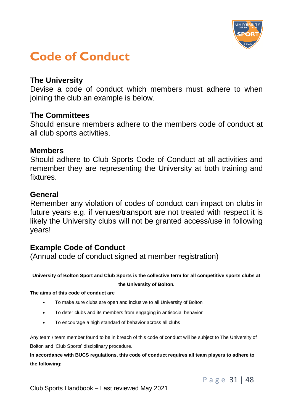

### <span id="page-32-0"></span>**Code of Conduct**

#### **The University**

Devise a code of conduct which members must adhere to when joining the club an example is below.

#### **The Committees**

Should ensure members adhere to the members code of conduct at all club sports activities.

#### **Members**

Should adhere to Club Sports Code of Conduct at all activities and remember they are representing the University at both training and fixtures.

#### **General**

Remember any violation of codes of conduct can impact on clubs in future years e.g. if venues/transport are not treated with respect it is likely the University clubs will not be granted access/use in following years!

#### **Example Code of Conduct**

(Annual code of conduct signed at member registration)

**University of Bolton Sport and Club Sports is the collective term for all competitive sports clubs at the University of Bolton.**

#### **The aims of this code of conduct are**

- To make sure clubs are open and inclusive to all University of Bolton
- To deter clubs and its members from engaging in antisocial behavior
- To encourage a high standard of behavior across all clubs

Any team / team member found to be in breach of this code of conduct will be subject to The University of Bolton and 'Club Sports' disciplinary procedure.

**In accordance with BUCS regulations, this code of conduct requires all team players to adhere to the following:**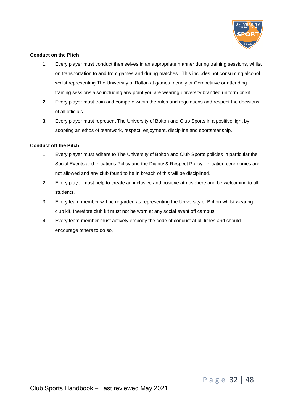

#### **Conduct on the Pitch**

- **1.** Every player must conduct themselves in an appropriate manner during training sessions, whilst on transportation to and from games and during matches. This includes not consuming alcohol whilst representing The University of Bolton at games friendly or Competitive or attending training sessions also including any point you are wearing university branded uniform or kit.
- **2.** Every player must train and compete within the rules and regulations and respect the decisions of all officials
- **3.** Every player must represent The University of Bolton and Club Sports in a positive light by adopting an ethos of teamwork, respect, enjoyment, discipline and sportsmanship.

#### **Conduct off the Pitch**

- 1. Every player must adhere to The University of Bolton and Club Sports policies in particular the Social Events and Initiations Policy and the Dignity & Respect Policy. Initiation ceremonies are not allowed and any club found to be in breach of this will be disciplined.
- 2. Every player must help to create an inclusive and positive atmosphere and be welcoming to all students.
- 3. Every team member will be regarded as representing the University of Bolton whilst wearing club kit, therefore club kit must not be worn at any social event off campus.
- 4. Every team member must actively embody the code of conduct at all times and should encourage others to do so.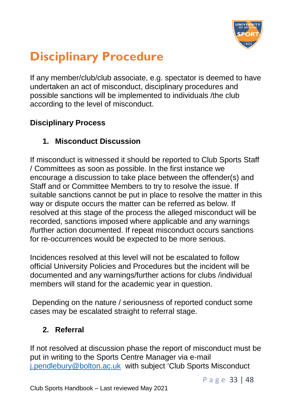

### <span id="page-34-0"></span>**Disciplinary Procedure**

If any member/club/club associate, e.g. spectator is deemed to have undertaken an act of misconduct, disciplinary procedures and possible sanctions will be implemented to individuals /the club according to the level of misconduct.

#### **Disciplinary Process**

#### **1. Misconduct Discussion**

If misconduct is witnessed it should be reported to Club Sports Staff / Committees as soon as possible. In the first instance we encourage a discussion to take place between the offender(s) and Staff and or Committee Members to try to resolve the issue. If suitable sanctions cannot be put in place to resolve the matter in this way or dispute occurs the matter can be referred as below. If resolved at this stage of the process the alleged misconduct will be recorded, sanctions imposed where applicable and any warnings /further action documented. If repeat misconduct occurs sanctions for re-occurrences would be expected to be more serious.

Incidences resolved at this level will not be escalated to follow official University Policies and Procedures but the incident will be documented and any warnings/further actions for clubs /individual members will stand for the academic year in question.

Depending on the nature / seriousness of reported conduct some cases may be escalated straight to referral stage.

#### **2. Referral**

If not resolved at discussion phase the report of misconduct must be put in writing to the Sports Centre Manager via e-mail [j.pendlebury@bolton.ac.uk](mailto:j.pendlebury@bolton.ac.uk) with subject 'Club Sports Misconduct

P a g e 33 | 48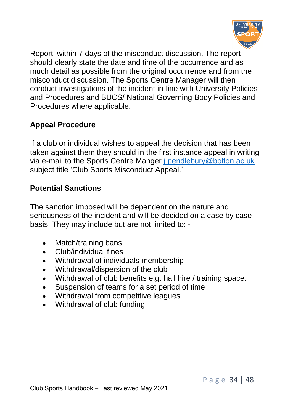

Report' within 7 days of the misconduct discussion. The report should clearly state the date and time of the occurrence and as much detail as possible from the original occurrence and from the misconduct discussion. The Sports Centre Manager will then conduct investigations of the incident in-line with University Policies and Procedures and BUCS/ National Governing Body Policies and Procedures where applicable.

#### **Appeal Procedure**

If a club or individual wishes to appeal the decision that has been taken against them they should in the first instance appeal in writing via e-mail to the Sports Centre Manger [j.pendlebury@bolton.ac.uk](mailto:j.pendlebury@bolton.ac.uk)  subject title 'Club Sports Misconduct Appeal.'

#### **Potential Sanctions**

The sanction imposed will be dependent on the nature and seriousness of the incident and will be decided on a case by case basis. They may include but are not limited to: -

- Match/training bans
- Club/individual fines
- Withdrawal of individuals membership
- Withdrawal/dispersion of the club
- Withdrawal of club benefits e.g. hall hire / training space.
- Suspension of teams for a set period of time
- Withdrawal from competitive leagues.
- Withdrawal of club funding.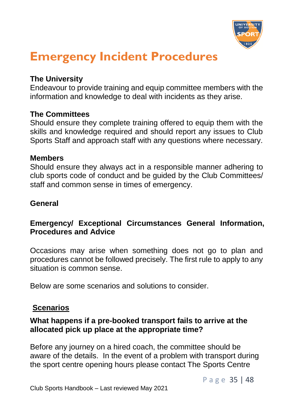

### <span id="page-36-0"></span>**Emergency Incident Procedures**

#### **The University**

Endeavour to provide training and equip committee members with the information and knowledge to deal with incidents as they arise.

#### **The Committees**

Should ensure they complete training offered to equip them with the skills and knowledge required and should report any issues to Club Sports Staff and approach staff with any questions where necessary.

#### **Members**

Should ensure they always act in a responsible manner adhering to club sports code of conduct and be guided by the Club Committees/ staff and common sense in times of emergency.

#### **General**

#### **Emergency/ Exceptional Circumstances General Information, Procedures and Advice**

Occasions may arise when something does not go to plan and procedures cannot be followed precisely. The first rule to apply to any situation is common sense.

Below are some scenarios and solutions to consider.

#### **Scenarios**

#### **What happens if a pre-booked transport fails to arrive at the allocated pick up place at the appropriate time?**

Before any journey on a hired coach, the committee should be aware of the details. In the event of a problem with transport during the sport centre opening hours please contact The Sports Centre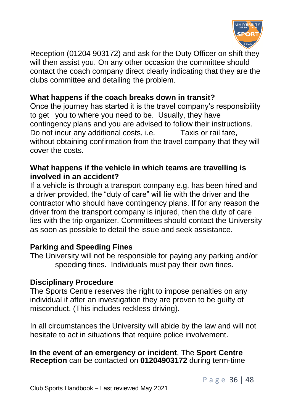

Reception (01204 903172) and ask for the Duty Officer on shift they will then assist you. On any other occasion the committee should contact the coach company direct clearly indicating that they are the clubs committee and detailing the problem.

#### **What happens if the coach breaks down in transit?**

Once the journey has started it is the travel company's responsibility to get you to where you need to be. Usually, they have contingency plans and you are advised to follow their instructions. Do not incur any additional costs, i.e. Taxis or rail fare, without obtaining confirmation from the travel company that they will cover the costs.

#### **What happens if the vehicle in which teams are travelling is involved in an accident?**

If a vehicle is through a transport company e.g. has been hired and a driver provided, the "duty of care" will lie with the driver and the contractor who should have contingency plans. If for any reason the driver from the transport company is injured, then the duty of care lies with the trip organizer. Committees should contact the University as soon as possible to detail the issue and seek assistance.

#### **Parking and Speeding Fines**

The University will not be responsible for paying any parking and/or speeding fines. Individuals must pay their own fines.

#### **Disciplinary Procedure**

The Sports Centre reserves the right to impose penalties on any individual if after an investigation they are proven to be guilty of misconduct. (This includes reckless driving).

In all circumstances the University will abide by the law and will not hesitate to act in situations that require police involvement.

#### **In the event of an emergency or incident**, The **Sport Centre Reception** can be contacted on **01204903172** during term-time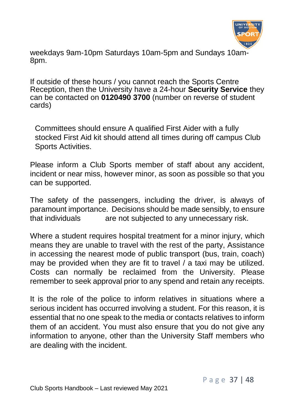

J weekdays 9am-10pm Saturdays 10am-5pm and Sundays 10am-8pm.

If outside of these hours / you cannot reach the Sports Centre Reception, then the University have a 24-hour **Security Service** they can be contacted on **0120490 3700** (number on reverse of student cards)

Committees should ensure A qualified First Aider with a fully stocked First Aid kit should attend all times during off campus Club Sports Activities.

Please inform a Club Sports member of staff about any accident, incident or near miss, however minor, as soon as possible so that you can be supported.

The safety of the passengers, including the driver, is always of paramount importance. Decisions should be made sensibly, to ensure that individuals are not subjected to any unnecessary risk.

Where a student requires hospital treatment for a minor injury, which means they are unable to travel with the rest of the party, Assistance in accessing the nearest mode of public transport (bus, train, coach) may be provided when they are fit to travel / a taxi may be utilized. Costs can normally be reclaimed from the University. Please remember to seek approval prior to any spend and retain any receipts.

It is the role of the police to inform relatives in situations where a serious incident has occurred involving a student. For this reason, it is essential that no one speak to the media or contacts relatives to inform them of an accident. You must also ensure that you do not give any information to anyone, other than the University Staff members who are dealing with the incident.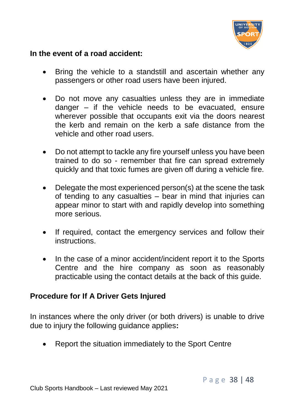

#### **In the event of a road accident:**

- Bring the vehicle to a standstill and ascertain whether any passengers or other road users have been injured.
- Do not move any casualties unless they are in immediate danger – if the vehicle needs to be evacuated, ensure wherever possible that occupants exit via the doors nearest the kerb and remain on the kerb a safe distance from the vehicle and other road users.
- Do not attempt to tackle any fire yourself unless you have been trained to do so - remember that fire can spread extremely quickly and that toxic fumes are given off during a vehicle fire.
- Delegate the most experienced person(s) at the scene the task of tending to any casualties – bear in mind that injuries can appear minor to start with and rapidly develop into something more serious.
- If required, contact the emergency services and follow their instructions.
- In the case of a minor accident/incident report it to the Sports Centre and the hire company as soon as reasonably practicable using the contact details at the back of this guide.

#### **Procedure for If A Driver Gets Injured**

In instances where the only driver (or both drivers) is unable to drive due to injury the following guidance applies**:**

• Report the situation immediately to the Sport Centre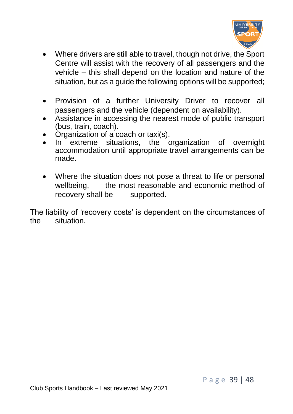

- Where drivers are still able to travel, though not drive, the Sport Centre will assist with the recovery of all passengers and the vehicle – this shall depend on the location and nature of the situation, but as a guide the following options will be supported;
- Provision of a further University Driver to recover all passengers and the vehicle (dependent on availability).
- Assistance in accessing the nearest mode of public transport (bus, train, coach).
- Organization of a coach or taxi(s).<br>In extreme situations, the o
- extreme situations, the organization of overnight accommodation until appropriate travel arrangements can be made.
- Where the situation does not pose a threat to life or personal wellbeing, the most reasonable and economic method of recovery shall be supported.

The liability of 'recovery costs' is dependent on the circumstances of the situation.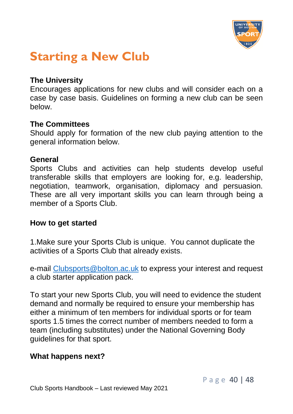

### <span id="page-41-0"></span>**Starting a New Club**

#### **The University**

Encourages applications for new clubs and will consider each on a case by case basis. Guidelines on forming a new club can be seen below.

#### **The Committees**

Should apply for formation of the new club paying attention to the general information below.

#### **General**

Sports Clubs and activities can help students develop useful transferable skills that employers are looking for, e.g. leadership, negotiation, teamwork, organisation, diplomacy and persuasion. These are all very important skills you can learn through being a member of a Sports Club.

#### **How to get started**

1.Make sure your Sports Club is unique. You cannot duplicate the activities of a Sports Club that already exists.

e-mail [Clubsports@bolton.ac.uk](mailto:Clubsports@bolton.ac.uk) to express your interest and request a club starter application pack.

To start your new Sports Club, you will need to evidence the student demand and normally be required to ensure your membership has either a minimum of ten members for individual sports or for team sports 1.5 times the correct number of members needed to form a team (including substitutes) under the National Governing Body guidelines for that sport.

#### **What happens next?**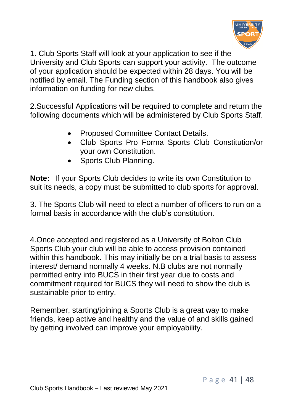

 $\overline{a}$ 1. Club Sports Staff will look at your application to see if the University and Club Sports can support your activity. The outcome of your application should be expected within 28 days. You will be notified by email. The Funding section of this handbook also gives information on funding for new clubs.

2.Successful Applications will be required to complete and return the following documents which will be administered by Club Sports Staff.

- Proposed Committee Contact Details.
- Club Sports Pro Forma Sports Club Constitution/or your own Constitution.
- Sports Club Planning.

**Note:** If your Sports Club decides to write its own Constitution to suit its needs, a copy must be submitted to club sports for approval.

3. The Sports Club will need to elect a number of officers to run on a formal basis in accordance with the club's constitution.

4.Once accepted and registered as a University of Bolton Club Sports Club your club will be able to access provision contained within this handbook. This may initially be on a trial basis to assess interest/ demand normally 4 weeks. N.B clubs are not normally permitted entry into BUCS in their first year due to costs and commitment required for BUCS they will need to show the club is sustainable prior to entry.

Remember, starting/joining a Sports Club is a great way to make friends, keep active and healthy and the value of and skills gained by getting involved can improve your employability.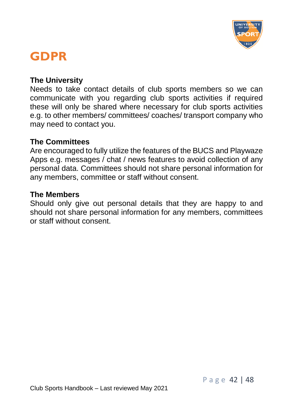

### <span id="page-43-0"></span>**GDPR**

#### **The University**

Needs to take contact details of club sports members so we can communicate with you regarding club sports activities if required these will only be shared where necessary for club sports activities e.g. to other members/ committees/ coaches/ transport company who may need to contact you.

#### **The Committees**

Are encouraged to fully utilize the features of the BUCS and Playwaze Apps e.g. messages / chat / news features to avoid collection of any personal data. Committees should not share personal information for any members, committee or staff without consent.

#### **The Members**

Should only give out personal details that they are happy to and should not share personal information for any members, committees or staff without consent.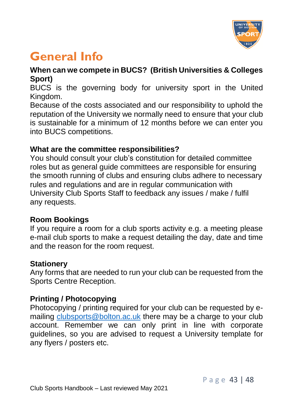

### <span id="page-44-0"></span>**General Info**

#### **When can we compete in BUCS? (British Universities & Colleges Sport)**

BUCS is the governing body for university sport in the United Kingdom.

Because of the costs associated and our responsibility to uphold the reputation of the University we normally need to ensure that your club is sustainable for a minimum of 12 months before we can enter you into BUCS competitions.

#### **What are the committee responsibilities?**

You should consult your club's constitution for detailed committee roles but as general guide committees are responsible for ensuring the smooth running of clubs and ensuring clubs adhere to necessary rules and regulations and are in regular communication with University Club Sports Staff to feedback any issues / make / fulfil any requests.

#### **Room Bookings**

If you require a room for a club sports activity e.g. a meeting please e-mail club sports to make a request detailing the day, date and time and the reason for the room request.

#### **Stationery**

Any forms that are needed to run your club can be requested from the Sports Centre Reception.

#### **Printing / Photocopying**

Photocopying / printing required for your club can be requested by emailing [clubsports@bolton.ac.uk](mailto:clubsports@bolton.ac.uk) there may be a charge to your club account. Remember we can only print in line with corporate guidelines, so you are advised to request a University template for any flyers / posters etc.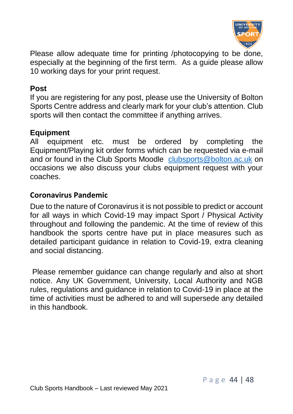

Please allow adequate time for printing /photocopying to be done, especially at the beginning of the first term. As a guide please allow 10 working days for your print request.

#### **Post**

If you are registering for any post, please use the University of Bolton Sports Centre address and clearly mark for your club's attention. Club sports will then contact the committee if anything arrives.

#### **Equipment**

All equipment etc. must be ordered by completing the Equipment/Playing kit order forms which can be requested via e-mail and or found in the Club Sports Moodle [clubsports@bolton.ac.uk](mailto:clubsports@bolton.ac.uk) on occasions we also discuss your clubs equipment request with your coaches.

#### **Coronavirus Pandemic**

Due to the nature of Coronavirus it is not possible to predict or account for all ways in which Covid-19 may impact Sport / Physical Activity throughout and following the pandemic. At the time of review of this handbook the sports centre have put in place measures such as detailed participant guidance in relation to Covid-19, extra cleaning and social distancing.

Please remember guidance can change regularly and also at short notice. Any UK Government, University, Local Authority and NGB rules, regulations and guidance in relation to Covid-19 in place at the time of activities must be adhered to and will supersede any detailed in this handbook.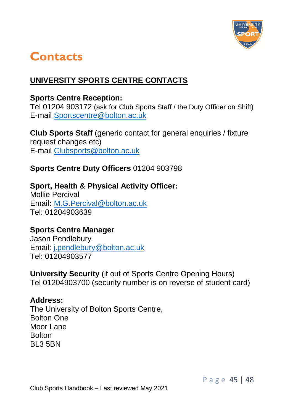

### <span id="page-46-0"></span>**Contacts**

#### **UNIVERSITY SPORTS CENTRE CONTACTS**

#### **Sports Centre Reception:**

Tel 01204 903172 (ask for Club Sports Staff / the Duty Officer on Shift) E-mail [Sportscentre@bolton.ac.uk](mailto:Sportscentre@bolton.ac.uk)

**Club Sports Staff** (generic contact for general enquiries / fixture request changes etc) E-mail [Clubsports@bolton.ac.uk](mailto:Clubsports@bolton.ac.uk)

#### **Sports Centre Duty Officers** 01204 903798

#### **Sport, Health & Physical Activity Officer:**

Mollie Percival Email**:** [M.G.Percival@bolton.ac.uk](mailto:M.G.Percival@bolton.ac.uk)  Tel: 01204903639

#### **Sports Centre Manager**

Jason Pendlebury Email: [j.pendlebury@bolton.ac.uk](mailto:j.pendlebury@bolton.ac.uk)  Tel: 01204903577

**University Security** (if out of Sports Centre Opening Hours) Tel 01204903700 (security number is on reverse of student card)

#### **Address:**

The University of Bolton Sports Centre, Bolton One Moor Lane **Bolton** BL3 5BN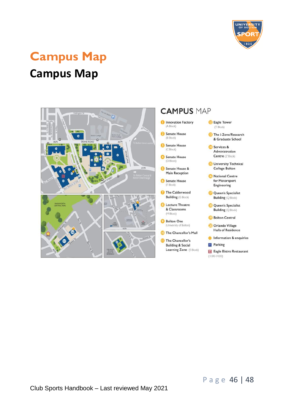

## <span id="page-47-0"></span>**Campus Map**

### **Campus Map**

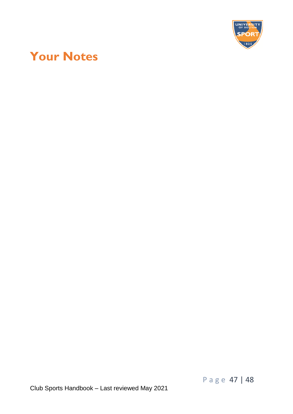

### <span id="page-48-0"></span>**Your Notes**

P a g e 47 | 48

Club Sports Handbook – Last reviewed May 2021